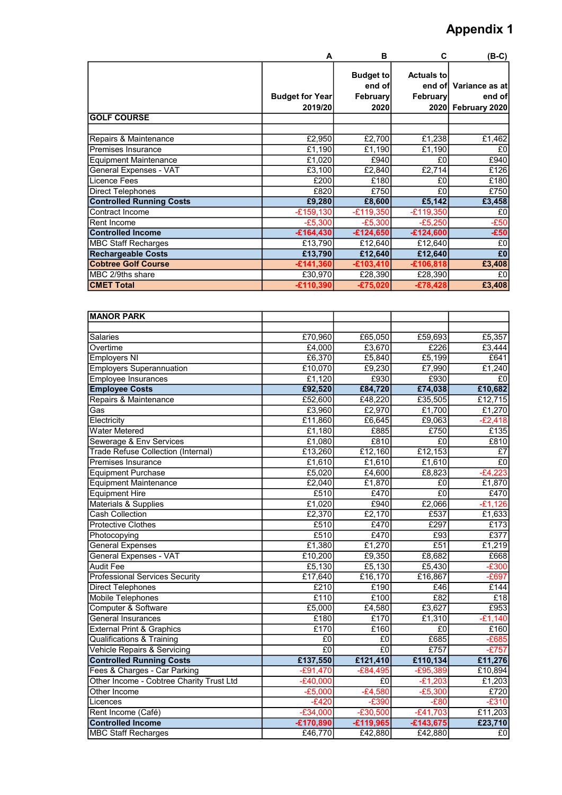## Appendix 1

|                                 | A                                 | в                                                     | C                                        | $(B-C)$                                        |
|---------------------------------|-----------------------------------|-------------------------------------------------------|------------------------------------------|------------------------------------------------|
|                                 | <b>Budget for Year</b><br>2019/20 | <b>Budget to</b><br>end of<br><b>February</b><br>2020 | <b>Actuals tol</b><br>end of<br>February | Variance as at<br>end of<br>2020 February 2020 |
| <b>GOLF COURSE</b>              |                                   |                                                       |                                          |                                                |
|                                 |                                   |                                                       |                                          |                                                |
| Repairs & Maintenance           | £2,950                            | £2,700                                                | £1,238                                   | £1,462                                         |
| <b>Premises Insurance</b>       | £1,190                            | £1,190                                                | £1,190                                   | £0                                             |
| <b>Equipment Maintenance</b>    | £1,020                            | £940                                                  | £0                                       | £940                                           |
| General Expenses - VAT          | E3,100                            | £2,840                                                | £2,714                                   | £126                                           |
| Licence Fees                    | £200                              | £180                                                  | £0                                       | £180                                           |
| <b>Direct Telephones</b>        | £820                              | £750                                                  | £0                                       | £750                                           |
| <b>Controlled Running Costs</b> | £9,280                            | £8,600                                                | £5,142                                   | £3,458                                         |
| Contract Income                 | $-E159,130$                       | $-£119,350$                                           | $-£119,350$                              | £0                                             |
| Rent Income                     | $-E5,300$                         | $-£5,300$                                             | $-£5,250$                                | $-E50$                                         |
| <b>Controlled Income</b>        | $-£164,430$                       | $-£124,650$                                           | $-£124,600$                              | $-£50$                                         |
| <b>MBC Staff Recharges</b>      | £13,790                           | £12,640                                               | £12,640                                  | £0                                             |
| <b>Rechargeable Costs</b>       | £13,790                           | £12,640                                               | £12,640                                  | £0                                             |
| <b>Cobtree Golf Course</b>      | $-£141,360$                       | $-£103,410$                                           | $-£106,818$                              | £3,408                                         |
| MBC 2/9ths share                | £30,970                           | £28,390                                               | £28,390                                  | £0                                             |
| <b>CMET Total</b>               | $-£110,390$                       | $-£75,020$                                            | $-£78,428$                               | £3,408                                         |

| <b>MANOR PARK</b>                         |             |             |                |                   |
|-------------------------------------------|-------------|-------------|----------------|-------------------|
|                                           |             |             |                |                   |
| <b>Salaries</b>                           | £70,960     | £65,050     | £59,693        | £5,357            |
| Overtime                                  | £4,000      | £3,670      | £226           | £3,444            |
| Employers NI                              | £6,370      | £5,840      | £5,199         | £641              |
| <b>Employers Superannuation</b>           | £10,070     | £9,230      | £7,990         | £1,240            |
| <b>Employee Insurances</b>                | £1,120      | £930        | £930           | £0                |
| <b>Employee Costs</b>                     | £92,520     | £84,720     | £74,038        | £10,682           |
| Repairs & Maintenance                     | £52,600     | £48,220     | £35,505        | £12,715           |
| Gas                                       | £3,960      | £2,970      | £1,700         | £1,270            |
| Electricity                               | £11,860     | £6,645      | £9,063         | $-£2,418$         |
| <b>Water Metered</b>                      | £1,180      | £885        | £750           | £135              |
| Sewerage & Env Services                   | £1,080      | £810        | E <sub>0</sub> | £810              |
| <b>Trade Refuse Collection (Internal)</b> | £13,260     | £12,160     | £12,153        | £7                |
| Premises Insurance                        | £1,610      | £1,610      | £1,610         | E <sub>0</sub>    |
| <b>Equipment Purchase</b>                 | £5,020      | £4,600      | £8,823         | $-E4,223$         |
| <b>Equipment Maintenance</b>              | £2,040      | £1,870      | £0             | £1,870            |
| <b>Equipment Hire</b>                     | £510        | £470        | $E_0$          | £470              |
| Materials & Supplies                      | £1,020      | £940        | £2,066         | $-£1,126$         |
| <b>Cash Collection</b>                    | £2,370      | E2,170      | £537           | £1,633            |
| <b>Protective Clothes</b>                 | £510        | £470        | £297           | £173              |
| Photocopying                              | £510        | £470        | £93            | £377              |
| <b>General Expenses</b>                   | £1,380      | £1,270      | E51            | £1,219            |
| General Expenses - VAT                    | £10,200     | £9,350      | £8,682         | £668              |
| <b>Audit Fee</b>                          | E5,130      | E5,130      | £5,430         | $-E300$           |
| <b>Professional Services Security</b>     | £17,640     | £16,170     | £16,867        | $-E697$           |
| <b>Direct Telephones</b>                  | £210        | £190        | £46            | £144              |
| <b>Mobile Telephones</b>                  | £110        | £100        | E82            | £18               |
| Computer & Software                       | £5,000      | £4,580      | £3,627         | £953              |
| <b>General Insurances</b>                 | £180        | £170        | £1,310         | $-E1,140$         |
| <b>External Print &amp; Graphics</b>      | £170        | £160        | E <sub>0</sub> | £160              |
| <b>Qualifications &amp; Training</b>      | £0          | £0          | £685           | $-E685$           |
| Vehicle Repairs & Servicing               | E0          | $E_0$       | £757           | $-E757$           |
| <b>Controlled Running Costs</b>           | £137,550    | £121,410    | £110,134       | £11,276           |
| Fees & Charges - Car Parking              | $-£91,470$  | $-E84,495$  | $-£95,389$     | £10,894           |
| Other Income - Cobtree Charity Trust Ltd  | $-E40,000$  | E0          | $-£1,203$      | E1,203            |
| Other Income                              | $-£5,000$   | $-E4,580$   | $-E5,300$      | $\overline{£720}$ |
| Licences                                  | $-E420$     | $-E390$     | $-E80$         | $-E310$           |
| Rent Income (Café)                        | $-E34,000$  | $-E30,500$  | $-E41,703$     | £11,203           |
| <b>Controlled Income</b>                  | $-£170,890$ | $-£119,965$ | $-£143,675$    | £23,710           |
| <b>MBC Staff Recharges</b>                | £46,770     | £42,880     | £42,880        | E <sub>0</sub>    |